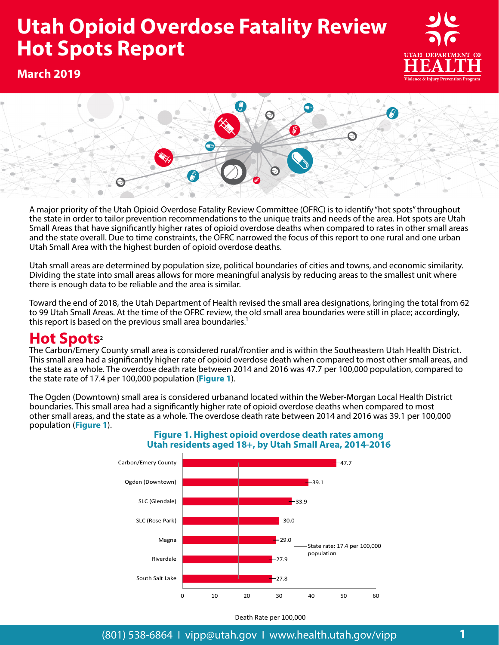# **Opioid Overdose Hot Spots Report 2019 Utah Opioid Overdose Fatality Review Hot Spots Report**





A major priority of the Utah Opioid Overdose Fatality Review Committee (OFRC) is to identify "hot spots" throughout the state in order to tailor prevention recommendations to the unique traits and needs of the area. Hot spots are Utah Small Areas that have significantly higher rates of opioid overdose deaths when compared to rates in other small areas and the state overall. Due to time constraints, the OFRC narrowed the focus of this report to one rural and one urban Utah Small Area with the highest burden of opioid overdose deaths.

Utah small areas are determined by population size, political boundaries of cities and towns, and economic similarity. Dividing the state into small areas allows for more meaningful analysis by reducing areas to the smallest unit where there is enough data to be reliable and the area is similar.

Toward the end of 2018, the Utah Department of Health revised the small area designations, bringing the total from 62 to 99 Utah Small Areas. At the time of the OFRC review, the old small area boundaries were still in place; accordingly, this report is based on the previous small area boundaries.<sup>1</sup>

## **Hot Spots**<sup>2</sup>

The Carbon/Emery County small area is considered rural/frontier and is within the Southeastern Utah Health District. This small area had a significantly higher rate of opioid overdose death when compared to most other small areas, and the state as a whole. The overdose death rate between 2014 and 2016 was 47.7 per 100,000 population, compared to the state rate of 17.4 per 100,000 population (**Figure 1**).

The Ogden (Downtown) small area is considered urbanand located within the Weber-Morgan Local Health District boundaries. This small area had a significantly higher rate of opioid overdose deaths when compared to most other small areas, and the state as a whole. The overdose death rate between 2014 and 2016 was 39.1 per 100,000 population (**Figure 1**).



## **Figure 1. Highest opioid overdose death rates among Utah residents aged 18+, by Utah Small Area, 2014-2016**

Death Rate per 100,000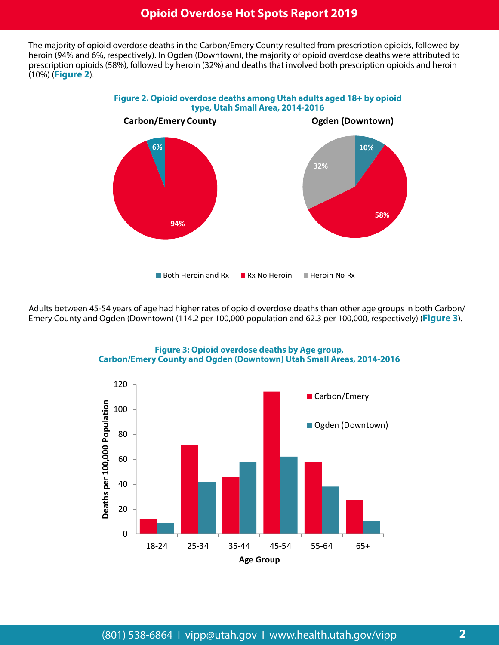## **Opioid Overdose Hot Spots Report 2019**

The majority of opioid overdose deaths in the Carbon/Emery County resulted from prescription opioids, followed by heroin (94% and 6%, respectively). In Ogden (Downtown), the majority of opioid overdose deaths were attributed to prescription opioids (58%), followed by heroin (32%) and deaths that involved both prescription opioids and heroin (10%) (**Figure 2**).



Adults between 45-54 years of age had higher rates of opioid overdose deaths than other age groups in both Carbon/ Emery County and Ogden (Downtown) (114.2 per 100,000 population and 62.3 per 100,000, respectively) (**Figure 3**).



**Figure 3: Opioid overdose deaths by Age group, Carbon/Emery County and Ogden (Downtown) Utah Small Areas, 2014-2016**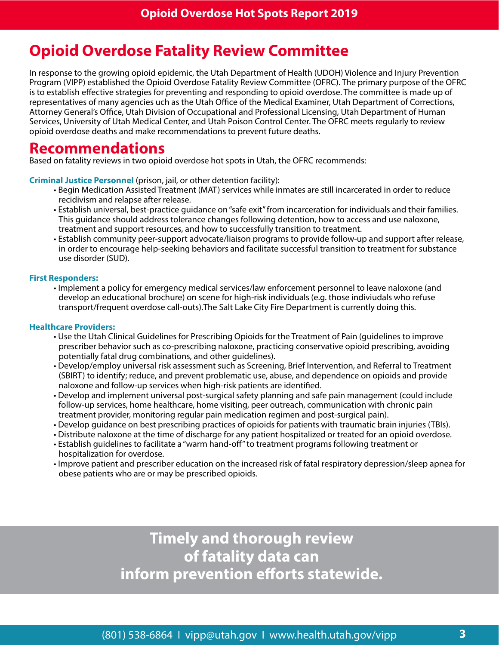# **Opioid Overdose Fatality Review Committee**

In response to the growing opioid epidemic, the Utah Department of Health (UDOH) Violence and Injury Prevention Program (VIPP) established the Opioid Overdose Fatality Review Committee (OFRC). The primary purpose of the OFRC is to establish effective strategies for preventing and responding to opioid overdose. The committee is made up of representatives of many agencies uch as the Utah Office of the Medical Examiner, Utah Department of Corrections, Attorney General's Office, Utah Division of Occupational and Professional Licensing, Utah Department of Human Services, University of Utah Medical Center, and Utah Poison Control Center. The OFRC meets regularly to review opioid overdose deaths and make recommendations to prevent future deaths.

## **Recommendations**

Based on fatality reviews in two opioid overdose hot spots in Utah, the OFRC recommends:

**Criminal Justice Personnel** (prison, jail, or other detention facility):

- Begin Medication Assisted Treatment (MAT) services while inmates are still incarcerated in order to reduce recidivism and relapse after release.
- Establish universal, best-practice guidance on "safe exit" from incarceration for individuals and their families. This guidance should address tolerance changes following detention, how to access and use naloxone, treatment and support resources, and how to successfully transition to treatment.
- Establish community peer-support advocate/liaison programs to provide follow-up and support after release, in order to encourage help-seeking behaviors and facilitate successful transition to treatment for substance use disorder (SUD).

## **First Responders:**

• Implement a policy for emergency medical services/law enforcement personnel to leave naloxone (and develop an educational brochure) on scene for high-risk individuals (e.g. those indiviudals who refuse transport/frequent overdose call-outs).The Salt Lake City Fire Department is currently doing this.

## **Healthcare Providers:**

- Use the Utah Clinical Guidelines for Prescribing Opioids for the Treatment of Pain (guidelines to improve prescriber behavior such as co-prescribing naloxone, practicing conservative opioid prescribing, avoiding potentially fatal drug combinations, and other guidelines).
- Develop/employ universal risk assessment such as Screening, Brief Intervention, and Referral to Treatment (SBIRT) to identify; reduce, and prevent problematic use, abuse, and dependence on opioids and provide naloxone and follow-up services when high-risk patients are identified.
- Develop and implement universal post-surgical safety planning and safe pain management (could include follow-up services, home healthcare, home visiting, peer outreach, communication with chronic pain treatment provider, monitoring regular pain medication regimen and post-surgical pain).
- Develop guidance on best prescribing practices of opioids for patients with traumatic brain injuries (TBIs).
- Distribute naloxone at the time of discharge for any patient hospitalized or treated for an opioid overdose.
- Establish guidelines to facilitate a "warm hand-off" to treatment programs following treatment or hospitalization for overdose.
- Improve patient and prescriber education on the increased risk of fatal respiratory depression/sleep apnea for obese patients who are or may be prescribed opioids.

**Timely and thorough review of fatality data can inform prevention efforts statewide.**